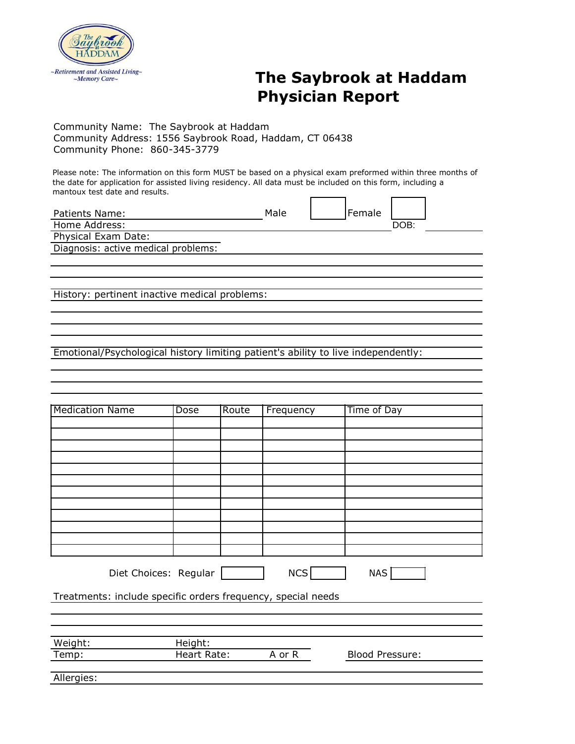

## *Retirement and Assisted Living-* The Saybrook at Haddam **Physician Report**

Community Name: The Saybrook at Haddam Community Address: 1556 Saybrook Road, Haddam, CT 06438 Community Phone: 860-345-3779

Please note: The information on this form MUST be based on a physical exam preformed within three months of the date for application for assisted living residency. All data must be included on this form, including a mantoux test date and results.

| Patients Name:                      | Male | Female |      |  |
|-------------------------------------|------|--------|------|--|
| Home Address:                       |      |        | DOB: |  |
| Physical Exam Date:                 |      |        |      |  |
| Diagnosis: active medical problems: |      |        |      |  |
|                                     |      |        |      |  |

History: pertinent inactive medical problems:

Emotional/Psychological history limiting patient's ability to live independently:

| <b>Medication Name</b>                                       | Dose               | Route | Frequency  | Time of Day            |  |  |
|--------------------------------------------------------------|--------------------|-------|------------|------------------------|--|--|
|                                                              |                    |       |            |                        |  |  |
|                                                              |                    |       |            |                        |  |  |
|                                                              |                    |       |            |                        |  |  |
|                                                              |                    |       |            |                        |  |  |
|                                                              |                    |       |            |                        |  |  |
|                                                              |                    |       |            |                        |  |  |
|                                                              |                    |       |            |                        |  |  |
|                                                              |                    |       |            |                        |  |  |
|                                                              |                    |       |            |                        |  |  |
|                                                              |                    |       |            |                        |  |  |
|                                                              |                    |       |            |                        |  |  |
|                                                              |                    |       |            |                        |  |  |
|                                                              |                    |       |            |                        |  |  |
|                                                              |                    |       |            |                        |  |  |
| Diet Choices: Regular                                        |                    |       | <b>NCS</b> | NAS                    |  |  |
|                                                              |                    |       |            |                        |  |  |
| Treatments: include specific orders frequency, special needs |                    |       |            |                        |  |  |
|                                                              |                    |       |            |                        |  |  |
|                                                              |                    |       |            |                        |  |  |
|                                                              |                    |       |            |                        |  |  |
| Weight:                                                      | Height:            |       |            |                        |  |  |
| Temp:                                                        | <b>Heart Rate:</b> |       | A or R     | <b>Blood Pressure:</b> |  |  |
|                                                              |                    |       |            |                        |  |  |
| Allergies:                                                   |                    |       |            |                        |  |  |
|                                                              |                    |       |            |                        |  |  |